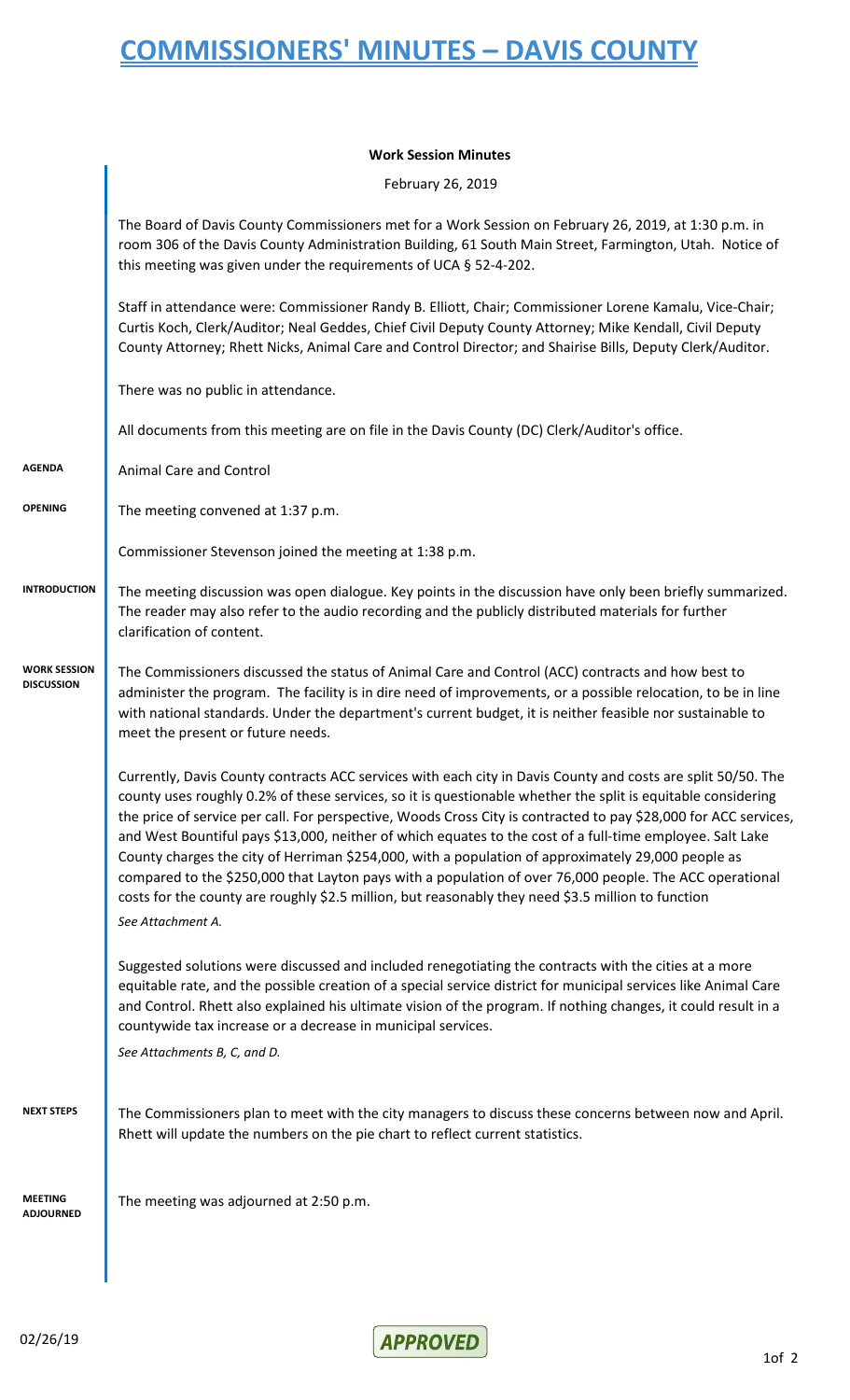## **Work Session Minutes**

February 26, 2019

|                                          | The Board of Davis County Commissioners met for a Work Session on February 26, 2019, at 1:30 p.m. in<br>room 306 of the Davis County Administration Building, 61 South Main Street, Farmington, Utah. Notice of<br>this meeting was given under the requirements of UCA § 52-4-202.                                                                                                                                                                                                                                                                                                                                                                                                                                                                                                                       |
|------------------------------------------|-----------------------------------------------------------------------------------------------------------------------------------------------------------------------------------------------------------------------------------------------------------------------------------------------------------------------------------------------------------------------------------------------------------------------------------------------------------------------------------------------------------------------------------------------------------------------------------------------------------------------------------------------------------------------------------------------------------------------------------------------------------------------------------------------------------|
|                                          | Staff in attendance were: Commissioner Randy B. Elliott, Chair; Commissioner Lorene Kamalu, Vice-Chair;<br>Curtis Koch, Clerk/Auditor; Neal Geddes, Chief Civil Deputy County Attorney; Mike Kendall, Civil Deputy<br>County Attorney; Rhett Nicks, Animal Care and Control Director; and Shairise Bills, Deputy Clerk/Auditor.                                                                                                                                                                                                                                                                                                                                                                                                                                                                           |
|                                          | There was no public in attendance.                                                                                                                                                                                                                                                                                                                                                                                                                                                                                                                                                                                                                                                                                                                                                                        |
|                                          | All documents from this meeting are on file in the Davis County (DC) Clerk/Auditor's office.                                                                                                                                                                                                                                                                                                                                                                                                                                                                                                                                                                                                                                                                                                              |
| <b>AGENDA</b>                            | Animal Care and Control                                                                                                                                                                                                                                                                                                                                                                                                                                                                                                                                                                                                                                                                                                                                                                                   |
| <b>OPENING</b>                           | The meeting convened at 1:37 p.m.                                                                                                                                                                                                                                                                                                                                                                                                                                                                                                                                                                                                                                                                                                                                                                         |
|                                          | Commissioner Stevenson joined the meeting at 1:38 p.m.                                                                                                                                                                                                                                                                                                                                                                                                                                                                                                                                                                                                                                                                                                                                                    |
| <b>INTRODUCTION</b>                      | The meeting discussion was open dialogue. Key points in the discussion have only been briefly summarized.<br>The reader may also refer to the audio recording and the publicly distributed materials for further<br>clarification of content.                                                                                                                                                                                                                                                                                                                                                                                                                                                                                                                                                             |
| <b>WORK SESSION</b><br><b>DISCUSSION</b> | The Commissioners discussed the status of Animal Care and Control (ACC) contracts and how best to<br>administer the program. The facility is in dire need of improvements, or a possible relocation, to be in line<br>with national standards. Under the department's current budget, it is neither feasible nor sustainable to<br>meet the present or future needs.                                                                                                                                                                                                                                                                                                                                                                                                                                      |
|                                          | Currently, Davis County contracts ACC services with each city in Davis County and costs are split 50/50. The<br>county uses roughly 0.2% of these services, so it is questionable whether the split is equitable considering<br>the price of service per call. For perspective, Woods Cross City is contracted to pay \$28,000 for ACC services,<br>and West Bountiful pays \$13,000, neither of which equates to the cost of a full-time employee. Salt Lake<br>County charges the city of Herriman \$254,000, with a population of approximately 29,000 people as<br>compared to the \$250,000 that Layton pays with a population of over 76,000 people. The ACC operational<br>costs for the county are roughly \$2.5 million, but reasonably they need \$3.5 million to function<br>See Attachment A. |
|                                          | Suggested solutions were discussed and included renegotiating the contracts with the cities at a more<br>equitable rate, and the possible creation of a special service district for municipal services like Animal Care<br>and Control. Rhett also explained his ultimate vision of the program. If nothing changes, it could result in a<br>countywide tax increase or a decrease in municipal services.<br>See Attachments B, C, and D.                                                                                                                                                                                                                                                                                                                                                                |
| <b>NEXT STEPS</b>                        | The Commissioners plan to meet with the city managers to discuss these concerns between now and April.<br>Rhett will update the numbers on the pie chart to reflect current statistics.                                                                                                                                                                                                                                                                                                                                                                                                                                                                                                                                                                                                                   |
| <b>MEETING</b><br>ADJOURNED              | The meeting was adjourned at 2:50 p.m.                                                                                                                                                                                                                                                                                                                                                                                                                                                                                                                                                                                                                                                                                                                                                                    |
|                                          |                                                                                                                                                                                                                                                                                                                                                                                                                                                                                                                                                                                                                                                                                                                                                                                                           |